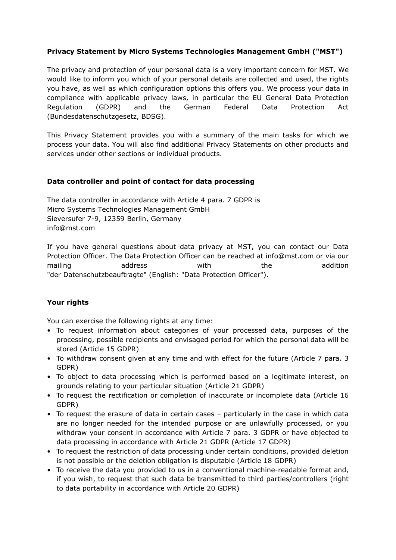## **Privacy Statement by Micro Systems Technologies Management GmbH ("MST")**

The privacy and protection of your personal data is a very important concern for MST. We would like to inform you which of your personal details are collected and used, the rights you have, as well as which configuration options this offers you. We process your data in compliance with applicable privacy laws, in particular the EU General Data Protection Regulation (GDPR) and the German Federal Data Protection Act (Bundesdatenschutzgesetz, BDSG).

This Privacy Statement provides you with a summary of the main tasks for which we process your data. You will also find additional Privacy Statements on other products and services under other sections or individual products.

### **Data controller and point of contact for data processing**

The data controller in accordance with Article 4 para. 7 GDPR is Micro Systems Technologies Management GmbH Sieversufer 7-9, 12359 Berlin, Germany info@mst.com

If you have general questions about data privacy at MST, you can contact our Data Protection Officer. The Data Protection Officer can be reached at info@mst.com or via our mailing and address and with the addition "der Datenschutzbeauftragte" (English: "Data Protection Officer").

### **Your rights**

You can exercise the following rights at any time:

- To request information about categories of your processed data, purposes of the processing, possible recipients and envisaged period for which the personal data will be stored (Article 15 GDPR)
- To withdraw consent given at any time and with effect for the future (Article 7 para. 3 GDPR)
- To object to data processing which is performed based on a legitimate interest, on grounds relating to your particular situation (Article 21 GDPR)
- To request the rectification or completion of inaccurate or incomplete data (Article 16 GDPR)
- To request the erasure of data in certain cases particularly in the case in which data are no longer needed for the intended purpose or are unlawfully processed, or you withdraw your consent in accordance with Article 7 para. 3 GDPR or have objected to data processing in accordance with Article 21 GDPR (Article 17 GDPR)
- To request the restriction of data processing under certain conditions, provided deletion is not possible or the deletion obligation is disputable (Article 18 GDPR)
- To receive the data you provided to us in a conventional machine-readable format and, if you wish, to request that such data be transmitted to third parties/controllers (right to data portability in accordance with Article 20 GDPR)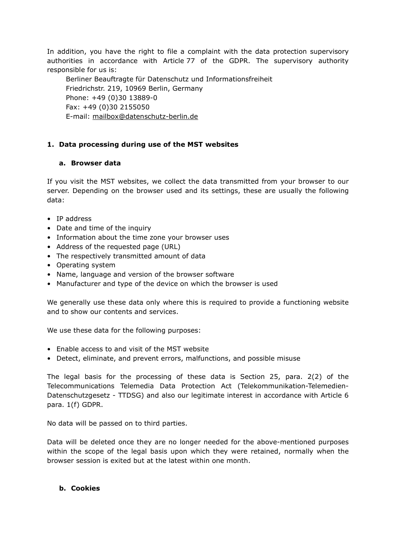In addition, you have the right to file a complaint with the data protection supervisory authorities in accordance with Article 77 of the GDPR. The supervisory authority responsible for us is:

Berliner Beauftragte für Datenschutz und Informationsfreiheit Friedrichstr. 219, 10969 Berlin, Germany Phone: +49 (0)30 13889-0 Fax: +49 (0)30 2155050 E-mail: [mailbox@datenschutz-berlin.de](mailto:mailbox@datenschutz-berlin.de)

## **1. Data processing during use of the MST websites**

### **a. Browser data**

If you visit the MST websites, we collect the data transmitted from your browser to our server. Depending on the browser used and its settings, these are usually the following data:

- IP address
- Date and time of the inquiry
- Information about the time zone your browser uses
- Address of the requested page (URL)
- The respectively transmitted amount of data
- Operating system
- Name, language and version of the browser software
- Manufacturer and type of the device on which the browser is used

We generally use these data only where this is required to provide a functioning website and to show our contents and services.

We use these data for the following purposes:

- Enable access to and visit of the MST website
- Detect, eliminate, and prevent errors, malfunctions, and possible misuse

The legal basis for the processing of these data is Section 25, para. 2(2) of the Telecommunications Telemedia Data Protection Act (Telekommunikation-Telemedien-Datenschutzgesetz - TTDSG) and also our legitimate interest in accordance with Article 6 para. 1(f) GDPR.

No data will be passed on to third parties.

Data will be deleted once they are no longer needed for the above-mentioned purposes within the scope of the legal basis upon which they were retained, normally when the browser session is exited but at the latest within one month.

### **b. Cookies**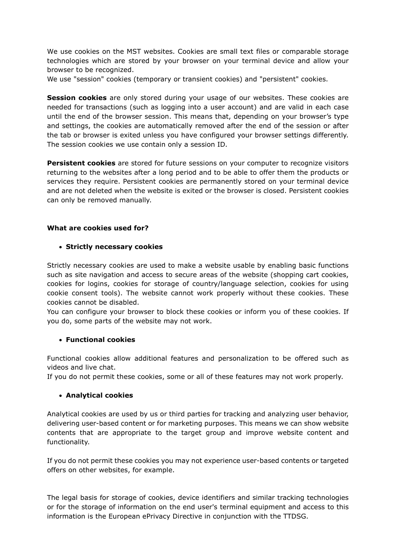We use cookies on the MST websites. Cookies are small text files or comparable storage technologies which are stored by your browser on your terminal device and allow your browser to be recognized.

We use "session" cookies (temporary or transient cookies) and "persistent" cookies.

**Session cookies** are only stored during your usage of our websites. These cookies are needed for transactions (such as logging into a user account) and are valid in each case until the end of the browser session. This means that, depending on your browser's type and settings, the cookies are automatically removed after the end of the session or after the tab or browser is exited unless you have configured your browser settings differently. The session cookies we use contain only a session ID.

Persistent cookies are stored for future sessions on your computer to recognize visitors returning to the websites after a long period and to be able to offer them the products or services they require. Persistent cookies are permanently stored on your terminal device and are not deleted when the website is exited or the browser is closed. Persistent cookies can only be removed manually.

#### **What are cookies used for?**

#### • **Strictly necessary cookies**

Strictly necessary cookies are used to make a website usable by enabling basic functions such as site navigation and access to secure areas of the website (shopping cart cookies, cookies for logins, cookies for storage of country/language selection, cookies for using cookie consent tools). The website cannot work properly without these cookies. These cookies cannot be disabled.

You can configure your browser to block these cookies or inform you of these cookies. If you do, some parts of the website may not work.

#### • **Functional cookies**

Functional cookies allow additional features and personalization to be offered such as videos and live chat.

If you do not permit these cookies, some or all of these features may not work properly.

### • **Analytical cookies**

Analytical cookies are used by us or third parties for tracking and analyzing user behavior, delivering user-based content or for marketing purposes. This means we can show website contents that are appropriate to the target group and improve website content and functionality.

If you do not permit these cookies you may not experience user-based contents or targeted offers on other websites, for example.

The legal basis for storage of cookies, device identifiers and similar tracking technologies or for the storage of information on the end user's terminal equipment and access to this information is the European ePrivacy Directive in conjunction with the TTDSG.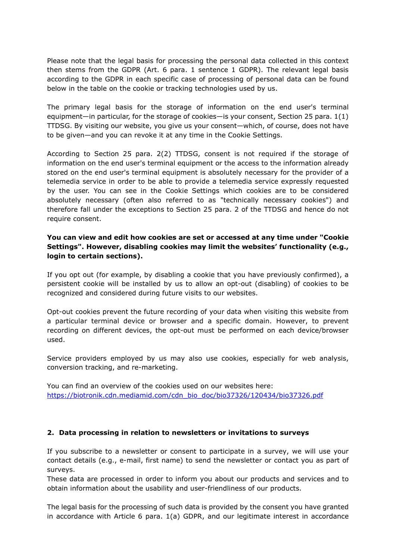Please note that the legal basis for processing the personal data collected in this context then stems from the GDPR (Art. 6 para. 1 sentence 1 GDPR). The relevant legal basis according to the GDPR in each specific case of processing of personal data can be found below in the table on the cookie or tracking technologies used by us.

The primary legal basis for the storage of information on the end user's terminal equipment—in particular, for the storage of cookies—is your consent, Section 25 para. 1(1) TTDSG. By visiting our website, you give us your consent—which, of course, does not have to be given—and you can revoke it at any time in the Cookie Settings.

According to Section 25 para. 2(2) TTDSG, consent is not required if the storage of information on the end user's terminal equipment or the access to the information already stored on the end user's terminal equipment is absolutely necessary for the provider of a telemedia service in order to be able to provide a telemedia service expressly requested by the user. You can see in the Cookie Settings which cookies are to be considered absolutely necessary (often also referred to as "technically necessary cookies") and therefore fall under the exceptions to Section 25 para. 2 of the TTDSG and hence do not require consent.

**You can view and edit how cookies are set or accessed at any time under "Cookie Settings". However, disabling cookies may limit the websites' functionality (e.g., login to certain sections).**

If you opt out (for example, by disabling a cookie that you have previously confirmed), a persistent cookie will be installed by us to allow an opt-out (disabling) of cookies to be recognized and considered during future visits to our websites.

Opt-out cookies prevent the future recording of your data when visiting this website from a particular terminal device or browser and a specific domain. However, to prevent recording on different devices, the opt-out must be performed on each device/browser used.

Service providers employed by us may also use cookies, especially for web analysis, conversion tracking, and re-marketing.

You can find an overview of the cookies used on our websites here: [https://biotronik.cdn.mediamid.com/cdn\\_bio\\_doc/bio37326/120434/bio37326.pdf](https://biotronik.cdn.mediamid.com/cdn_bio_doc/bio37326/120434/bio37326.pdf)

#### **2. Data processing in relation to newsletters or invitations to surveys**

If you subscribe to a newsletter or consent to participate in a survey, we will use your contact details (e.g., e-mail, first name) to send the newsletter or contact you as part of surveys.

These data are processed in order to inform you about our products and services and to obtain information about the usability and user-friendliness of our products.

The legal basis for the processing of such data is provided by the consent you have granted in accordance with Article 6 para. 1(a) GDPR, and our legitimate interest in accordance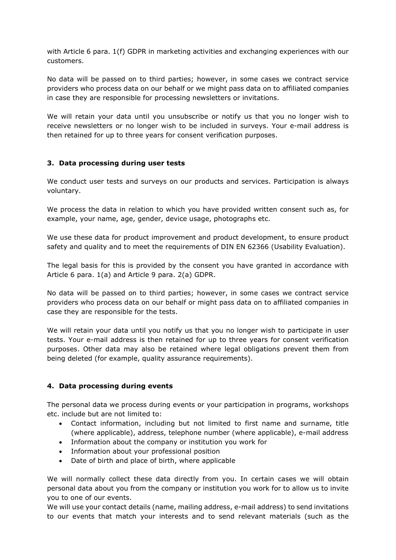with Article 6 para. 1(f) GDPR in marketing activities and exchanging experiences with our customers.

No data will be passed on to third parties; however, in some cases we contract service providers who process data on our behalf or we might pass data on to affiliated companies in case they are responsible for processing newsletters or invitations.

We will retain your data until you unsubscribe or notify us that you no longer wish to receive newsletters or no longer wish to be included in surveys. Your e-mail address is then retained for up to three years for consent verification purposes.

### **3. Data processing during user tests**

We conduct user tests and surveys on our products and services. Participation is always voluntary.

We process the data in relation to which you have provided written consent such as, for example, your name, age, gender, device usage, photographs etc.

We use these data for product improvement and product development, to ensure product safety and quality and to meet the requirements of DIN EN 62366 (Usability Evaluation).

The legal basis for this is provided by the consent you have granted in accordance with Article 6 para. 1(a) and Article 9 para. 2(a) GDPR.

No data will be passed on to third parties; however, in some cases we contract service providers who process data on our behalf or might pass data on to affiliated companies in case they are responsible for the tests.

We will retain your data until you notify us that you no longer wish to participate in user tests. Your e-mail address is then retained for up to three years for consent verification purposes. Other data may also be retained where legal obligations prevent them from being deleted (for example, quality assurance requirements).

### **4. Data processing during events**

The personal data we process during events or your participation in programs, workshops etc. include but are not limited to:

- Contact information, including but not limited to first name and surname, title (where applicable), address, telephone number (where applicable), e-mail address
- Information about the company or institution you work for
- Information about your professional position
- Date of birth and place of birth, where applicable

We will normally collect these data directly from you. In certain cases we will obtain personal data about you from the company or institution you work for to allow us to invite you to one of our events.

We will use your contact details (name, mailing address, e-mail address) to send invitations to our events that match your interests and to send relevant materials (such as the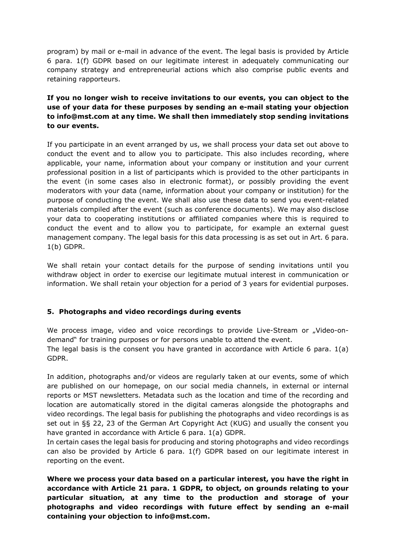program) by mail or e-mail in advance of the event. The legal basis is provided by Article 6 para. 1(f) GDPR based on our legitimate interest in adequately communicating our company strategy and entrepreneurial actions which also comprise public events and retaining rapporteurs.

## **If you no longer wish to receive invitations to our events, you can object to the use of your data for these purposes by sending an e-mail stating your objection to info@mst.com at any time. We shall then immediately stop sending invitations to our events.**

If you participate in an event arranged by us, we shall process your data set out above to conduct the event and to allow you to participate. This also includes recording, where applicable, your name, information about your company or institution and your current professional position in a list of participants which is provided to the other participants in the event (in some cases also in electronic format), or possibly providing the event moderators with your data (name, information about your company or institution) for the purpose of conducting the event. We shall also use these data to send you event-related materials compiled after the event (such as conference documents). We may also disclose your data to cooperating institutions or affiliated companies where this is required to conduct the event and to allow you to participate, for example an external guest management company. The legal basis for this data processing is as set out in Art. 6 para. 1(b) GDPR.

We shall retain your contact details for the purpose of sending invitations until you withdraw object in order to exercise our legitimate mutual interest in communication or information. We shall retain your objection for a period of 3 years for evidential purposes.

### **5. Photographs and video recordings during events**

We process image, video and voice recordings to provide Live-Stream or "Video-ondemand" for training purposes or for persons unable to attend the event. The legal basis is the consent you have granted in accordance with Article 6 para. 1(a) GDPR.

In addition, photographs and/or videos are regularly taken at our events, some of which are published on our homepage, on our social media channels, in external or internal reports or MST newsletters. Metadata such as the location and time of the recording and location are automatically stored in the digital cameras alongside the photographs and video recordings. The legal basis for publishing the photographs and video recordings is as set out in §§ 22, 23 of the German Art Copyright Act (KUG) and usually the consent you have granted in accordance with Article 6 para. 1(a) GDPR.

In certain cases the legal basis for producing and storing photographs and video recordings can also be provided by Article 6 para. 1(f) GDPR based on our legitimate interest in reporting on the event.

**Where we process your data based on a particular interest, you have the right in accordance with Article 21 para. 1 GDPR, to object, on grounds relating to your particular situation, at any time to the production and storage of your photographs and video recordings with future effect by sending an e-mail containing your objection to info@mst.com.**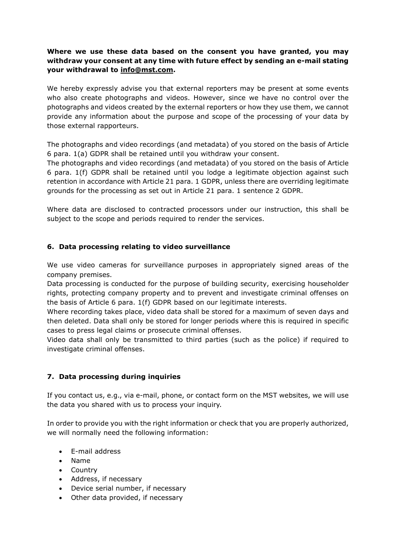## **Where we use these data based on the consent you have granted, you may withdraw your consent at any time with future effect by sending an e-mail stating your withdrawal to info@mst.com.**

We hereby expressly advise you that external reporters may be present at some events who also create photographs and videos. However, since we have no control over the photographs and videos created by the external reporters or how they use them, we cannot provide any information about the purpose and scope of the processing of your data by those external rapporteurs.

The photographs and video recordings (and metadata) of you stored on the basis of Article 6 para. 1(a) GDPR shall be retained until you withdraw your consent.

The photographs and video recordings (and metadata) of you stored on the basis of Article 6 para. 1(f) GDPR shall be retained until you lodge a legitimate objection against such retention in accordance with Article 21 para. 1 GDPR, unless there are overriding legitimate grounds for the processing as set out in Article 21 para. 1 sentence 2 GDPR.

Where data are disclosed to contracted processors under our instruction, this shall be subject to the scope and periods required to render the services.

## **6. Data processing relating to video surveillance**

We use video cameras for surveillance purposes in appropriately signed areas of the company premises.

Data processing is conducted for the purpose of building security, exercising householder rights, protecting company property and to prevent and investigate criminal offenses on the basis of Article 6 para. 1(f) GDPR based on our legitimate interests.

Where recording takes place, video data shall be stored for a maximum of seven days and then deleted. Data shall only be stored for longer periods where this is required in specific cases to press legal claims or prosecute criminal offenses.

Video data shall only be transmitted to third parties (such as the police) if required to investigate criminal offenses.

## **7. Data processing during inquiries**

If you contact us, e.g., via e-mail, phone, or contact form on the MST websites, we will use the data you shared with us to process your inquiry.

In order to provide you with the right information or check that you are properly authorized, we will normally need the following information:

- E-mail address
- Name
- Country
- Address, if necessary
- Device serial number, if necessary
- Other data provided, if necessary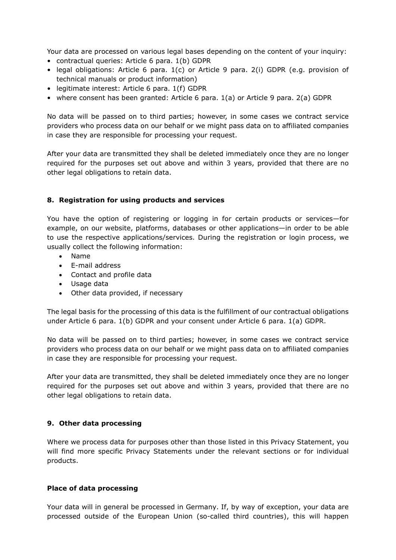Your data are processed on various legal bases depending on the content of your inquiry:

- contractual queries: Article 6 para. 1(b) GDPR
- legal obligations: Article 6 para. 1(c) or Article 9 para. 2(i) GDPR (e.g. provision of technical manuals or product information)
- legitimate interest: Article 6 para. 1(f) GDPR
- where consent has been granted: Article 6 para. 1(a) or Article 9 para. 2(a) GDPR

No data will be passed on to third parties; however, in some cases we contract service providers who process data on our behalf or we might pass data on to affiliated companies in case they are responsible for processing your request.

After your data are transmitted they shall be deleted immediately once they are no longer required for the purposes set out above and within 3 years, provided that there are no other legal obligations to retain data.

### **8. Registration for using products and services**

You have the option of registering or logging in for certain products or services—for example, on our website, platforms, databases or other applications—in order to be able to use the respective applications/services. During the registration or login process, we usually collect the following information:

- Name
- E-mail address
- Contact and profile data
- Usage data
- Other data provided, if necessary

The legal basis for the processing of this data is the fulfillment of our contractual obligations under Article 6 para. 1(b) GDPR and your consent under Article 6 para. 1(a) GDPR.

No data will be passed on to third parties; however, in some cases we contract service providers who process data on our behalf or we might pass data on to affiliated companies in case they are responsible for processing your request.

After your data are transmitted, they shall be deleted immediately once they are no longer required for the purposes set out above and within 3 years, provided that there are no other legal obligations to retain data.

### **9. Other data processing**

Where we process data for purposes other than those listed in this Privacy Statement, you will find more specific Privacy Statements under the relevant sections or for individual products.

### **Place of data processing**

Your data will in general be processed in Germany. If, by way of exception, your data are processed outside of the European Union (so-called third countries), this will happen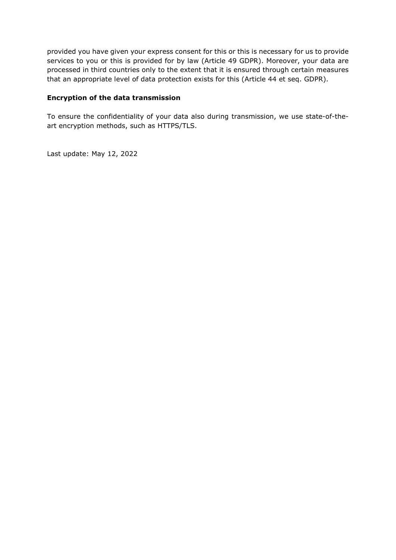provided you have given your express consent for this or this is necessary for us to provide services to you or this is provided for by law (Article 49 GDPR). Moreover, your data are processed in third countries only to the extent that it is ensured through certain measures that an appropriate level of data protection exists for this (Article 44 et seq. GDPR).

### **Encryption of the data transmission**

To ensure the confidentiality of your data also during transmission, we use state-of-theart encryption methods, such as HTTPS/TLS.

Last update: May 12, 2022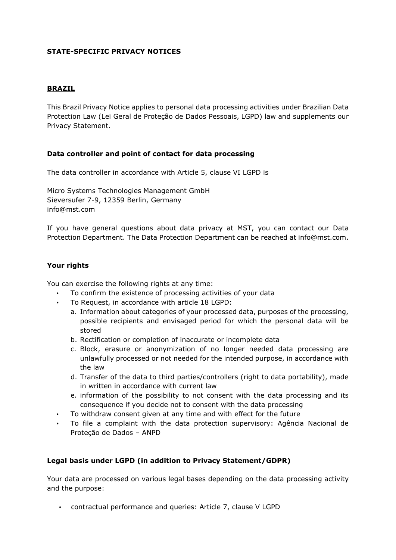## **STATE-SPECIFIC PRIVACY NOTICES**

#### **BRAZIL**

This Brazil Privacy Notice applies to personal data processing activities under Brazilian Data Protection Law (Lei Geral de Proteção de Dados Pessoais, LGPD) law and supplements our Privacy Statement.

### **Data controller and point of contact for data processing**

The data controller in accordance with Article 5, clause VI LGPD is

Micro Systems Technologies Management GmbH Sieversufer 7-9, 12359 Berlin, Germany info@mst.com

If you have general questions about data privacy at MST, you can contact our Data Protection Department. The Data Protection Department can be reached at info@mst.com.

#### **Your rights**

You can exercise the following rights at any time:

- To confirm the existence of processing activities of your data
- To Request, in accordance with article 18 LGPD:
	- a. Information about categories of your processed data, purposes of the processing, possible recipients and envisaged period for which the personal data will be stored
	- b. Rectification or completion of inaccurate or incomplete data
	- c. Block, erasure or anonymization of no longer needed data processing are unlawfully processed or not needed for the intended purpose, in accordance with the law
	- d. Transfer of the data to third parties/controllers (right to data portability), made in written in accordance with current law
	- e. information of the possibility to not consent with the data processing and its consequence if you decide not to consent with the data processing
- To withdraw consent given at any time and with effect for the future
- To file a complaint with the data protection supervisory: Agência Nacional de Proteção de Dados – ANPD

### **Legal basis under LGPD (in addition to Privacy Statement/GDPR)**

Your data are processed on various legal bases depending on the data processing activity and the purpose:

• contractual performance and queries: Article 7, clause V LGPD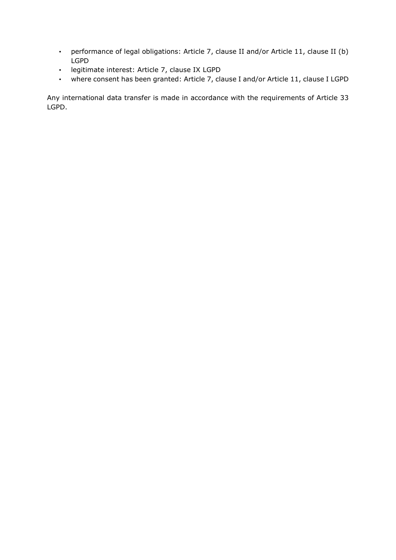- performance of legal obligations: Article 7, clause II and/or Article 11, clause II (b) LGPD
- legitimate interest: Article 7, clause IX LGPD
- where consent has been granted: Article 7, clause I and/or Article 11, clause I LGPD

Any international data transfer is made in accordance with the requirements of Article 33 LGPD.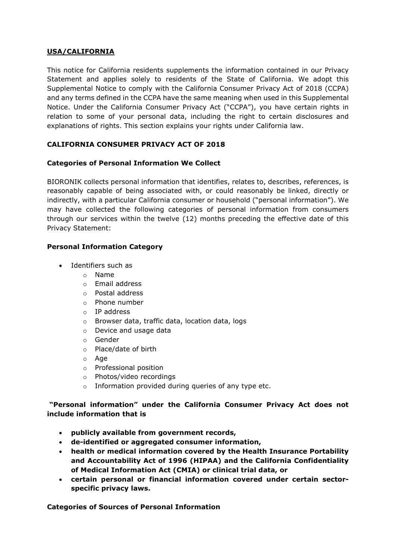## **USA/CALIFORNIA**

This notice for California residents supplements the information contained in our Privacy Statement and applies solely to residents of the State of California. We adopt this Supplemental Notice to comply with the California Consumer Privacy Act of 2018 (CCPA) and any terms defined in the CCPA have the same meaning when used in this Supplemental Notice. Under the California Consumer Privacy Act ("CCPA"), you have certain rights in relation to some of your personal data, including the right to certain disclosures and explanations of rights. This section explains your rights under California law.

## **CALIFORNIA CONSUMER PRIVACY ACT OF 2018**

### **Categories of Personal Information We Collect**

BIORONIK collects personal information that identifies, relates to, describes, references, is reasonably capable of being associated with, or could reasonably be linked, directly or indirectly, with a particular California consumer or household ("personal information"). We may have collected the following categories of personal information from consumers through our services within the twelve (12) months preceding the effective date of this Privacy Statement:

## **Personal Information Category**

- Identifiers such as
	- o Name
	- o Email address
	- o Postal address
	- o Phone number
	- o IP address
	- o Browser data, traffic data, location data, logs
	- o Device and usage data
	- o Gender
	- o Place/date of birth
	- o Age
	- o Professional position
	- o Photos/video recordings
	- o Information provided during queries of any type etc.

### **"Personal information" under the California Consumer Privacy Act does not include information that is**

- **publicly available from government records,**
- **de-identified or aggregated consumer information,**
- **health or medical information covered by the Health Insurance Portability and Accountability Act of 1996 (HIPAA) and the California Confidentiality of Medical Information Act (CMIA) or clinical trial data, or**
- **certain personal or financial information covered under certain sectorspecific privacy laws.**

**Categories of Sources of Personal Information**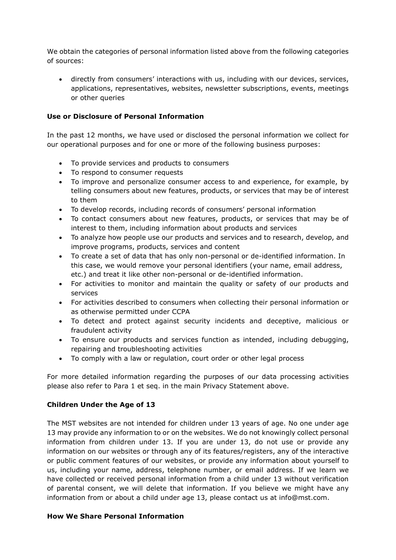We obtain the categories of personal information listed above from the following categories of sources:

• directly from consumers' interactions with us, including with our devices, services, applications, representatives, websites, newsletter subscriptions, events, meetings or other queries

### **Use or Disclosure of Personal Information**

In the past 12 months, we have used or disclosed the personal information we collect for our operational purposes and for one or more of the following business purposes:

- To provide services and products to consumers
- To respond to consumer requests
- To improve and personalize consumer access to and experience, for example, by telling consumers about new features, products, or services that may be of interest to them
- To develop records, including records of consumers' personal information
- To contact consumers about new features, products, or services that may be of interest to them, including information about products and services
- To analyze how people use our products and services and to research, develop, and improve programs, products, services and content
- To create a set of data that has only non-personal or de-identified information. In this case, we would remove your personal identifiers (your name, email address, etc.) and treat it like other non-personal or de-identified information.
- For activities to monitor and maintain the quality or safety of our products and services
- For activities described to consumers when collecting their personal information or as otherwise permitted under CCPA
- To detect and protect against security incidents and deceptive, malicious or fraudulent activity
- To ensure our products and services function as intended, including debugging, repairing and troubleshooting activities
- To comply with a law or regulation, court order or other legal process

For more detailed information regarding the purposes of our data processing activities please also refer to Para 1 et seq. in the main Privacy Statement above.

### **Children Under the Age of 13**

The MST websites are not intended for children under 13 years of age. No one under age 13 may provide any information to or on the websites. We do not knowingly collect personal information from children under 13. If you are under 13, do not use or provide any information on our websites or through any of its features/registers, any of the interactive or public comment features of our websites, or provide any information about yourself to us, including your name, address, telephone number, or email address. If we learn we have collected or received personal information from a child under 13 without verification of parental consent, we will delete that information. If you believe we might have any information from or about a child under age 13, please contact us at info@mst.com.

### **How We Share Personal Information**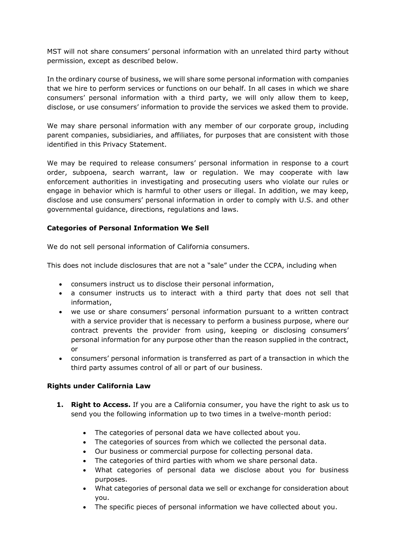MST will not share consumers' personal information with an unrelated third party without permission, except as described below.

In the ordinary course of business, we will share some personal information with companies that we hire to perform services or functions on our behalf. In all cases in which we share consumers' personal information with a third party, we will only allow them to keep, disclose, or use consumers' information to provide the services we asked them to provide.

We may share personal information with any member of our corporate group, including parent companies, subsidiaries, and affiliates, for purposes that are consistent with those identified in this Privacy Statement.

We may be required to release consumers' personal information in response to a court order, subpoena, search warrant, law or regulation. We may cooperate with law enforcement authorities in investigating and prosecuting users who violate our rules or engage in behavior which is harmful to other users or illegal. In addition, we may keep, disclose and use consumers' personal information in order to comply with U.S. and other governmental guidance, directions, regulations and laws.

## **Categories of Personal Information We Sell**

We do not sell personal information of California consumers.

This does not include disclosures that are not a "sale" under the CCPA, including when

- consumers instruct us to disclose their personal information,
- a consumer instructs us to interact with a third party that does not sell that information,
- we use or share consumers' personal information pursuant to a written contract with a service provider that is necessary to perform a business purpose, where our contract prevents the provider from using, keeping or disclosing consumers' personal information for any purpose other than the reason supplied in the contract, or
- consumers' personal information is transferred as part of a transaction in which the third party assumes control of all or part of our business.

### **Rights under California Law**

- **1. Right to Access.** If you are a California consumer, you have the right to ask us to send you the following information up to two times in a twelve-month period:
	- The categories of personal data we have collected about you.
	- The categories of sources from which we collected the personal data.
	- Our business or commercial purpose for collecting personal data.
	- The categories of third parties with whom we share personal data.
	- What categories of personal data we disclose about you for business purposes.
	- What categories of personal data we sell or exchange for consideration about you.
	- The specific pieces of personal information we have collected about you.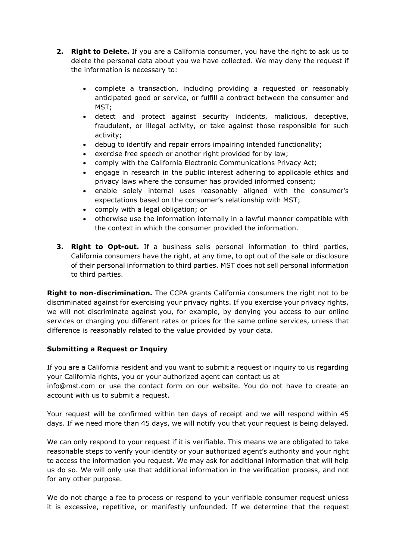- **2. Right to Delete.** If you are a California consumer, you have the right to ask us to delete the personal data about you we have collected. We may deny the request if the information is necessary to:
	- complete a transaction, including providing a requested or reasonably anticipated good or service, or fulfill a contract between the consumer and MST;
	- detect and protect against security incidents, malicious, deceptive, fraudulent, or illegal activity, or take against those responsible for such activity;
	- debug to identify and repair errors impairing intended functionality;
	- exercise free speech or another right provided for by law;
	- comply with the California Electronic Communications Privacy Act;
	- engage in research in the public interest adhering to applicable ethics and privacy laws where the consumer has provided informed consent;
	- enable solely internal uses reasonably aligned with the consumer's expectations based on the consumer's relationship with MST;
	- comply with a legal obligation; or
	- otherwise use the information internally in a lawful manner compatible with the context in which the consumer provided the information.
- **3. Right to Opt-out.** If a business sells personal information to third parties, California consumers have the right, at any time, to opt out of the sale or disclosure of their personal information to third parties. MST does not sell personal information to third parties.

**Right to non-discrimination.** The CCPA grants California consumers the right not to be discriminated against for exercising your privacy rights. If you exercise your privacy rights, we will not discriminate against you, for example, by denying you access to our online services or charging you different rates or prices for the same online services, unless that difference is reasonably related to the value provided by your data.

### **Submitting a Request or Inquiry**

If you are a California resident and you want to submit a request or inquiry to us regarding your California rights, you or your authorized agent can contact us at

info@mst.com or use the contact form on our website. You do not have to create an account with us to submit a request.

Your request will be confirmed within ten days of receipt and we will respond within 45 days. If we need more than 45 days, we will notify you that your request is being delayed.

We can only respond to your request if it is verifiable. This means we are obligated to take reasonable steps to verify your identity or your authorized agent's authority and your right to access the information you request. We may ask for additional information that will help us do so. We will only use that additional information in the verification process, and not for any other purpose.

We do not charge a fee to process or respond to your verifiable consumer request unless it is excessive, repetitive, or manifestly unfounded. If we determine that the request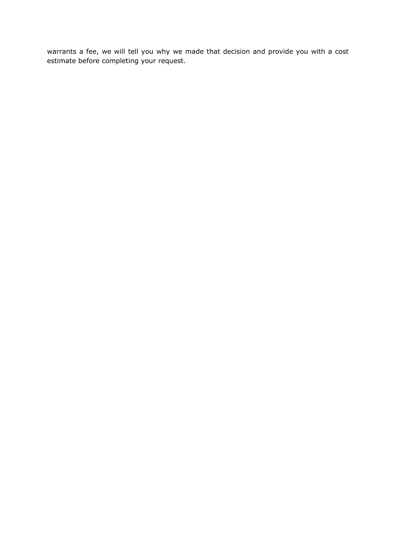warrants a fee, we will tell you why we made that decision and provide you with a cost estimate before completing your request.